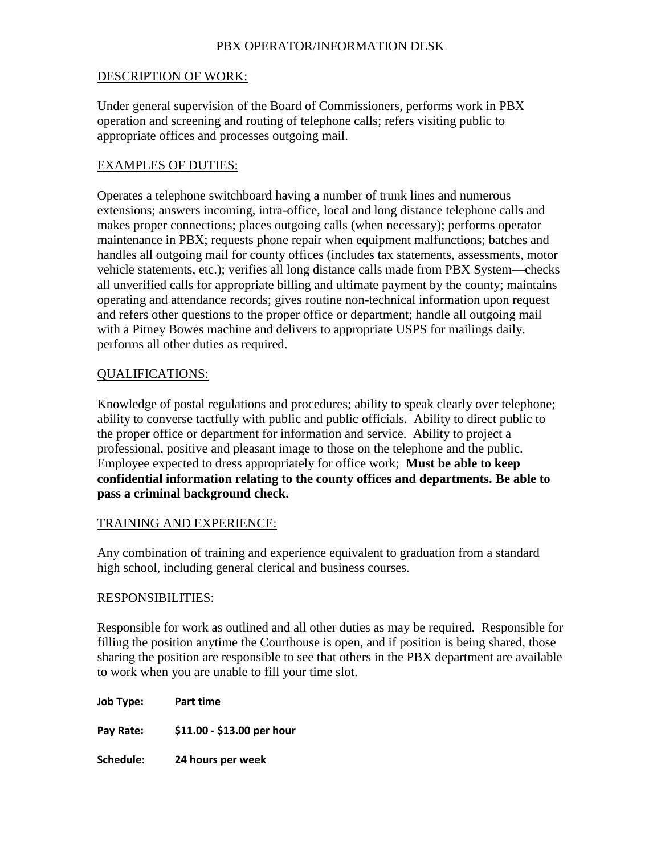# PBX OPERATOR/INFORMATION DESK

## DESCRIPTION OF WORK:

Under general supervision of the Board of Commissioners, performs work in PBX operation and screening and routing of telephone calls; refers visiting public to appropriate offices and processes outgoing mail.

## EXAMPLES OF DUTIES:

Operates a telephone switchboard having a number of trunk lines and numerous extensions; answers incoming, intra-office, local and long distance telephone calls and makes proper connections; places outgoing calls (when necessary); performs operator maintenance in PBX; requests phone repair when equipment malfunctions; batches and handles all outgoing mail for county offices (includes tax statements, assessments, motor vehicle statements, etc.); verifies all long distance calls made from PBX System—checks all unverified calls for appropriate billing and ultimate payment by the county; maintains operating and attendance records; gives routine non-technical information upon request and refers other questions to the proper office or department; handle all outgoing mail with a Pitney Bowes machine and delivers to appropriate USPS for mailings daily. performs all other duties as required.

## QUALIFICATIONS:

Knowledge of postal regulations and procedures; ability to speak clearly over telephone; ability to converse tactfully with public and public officials. Ability to direct public to the proper office or department for information and service. Ability to project a professional, positive and pleasant image to those on the telephone and the public. Employee expected to dress appropriately for office work; **Must be able to keep confidential information relating to the county offices and departments. Be able to pass a criminal background check.** 

## TRAINING AND EXPERIENCE:

Any combination of training and experience equivalent to graduation from a standard high school, including general clerical and business courses.

## RESPONSIBILITIES:

Responsible for work as outlined and all other duties as may be required. Responsible for filling the position anytime the Courthouse is open, and if position is being shared, those sharing the position are responsible to see that others in the PBX department are available to work when you are unable to fill your time slot.

**Job Type: Part time Pay Rate: \$11.00 - \$13.00 per hour Schedule: 24 hours per week**